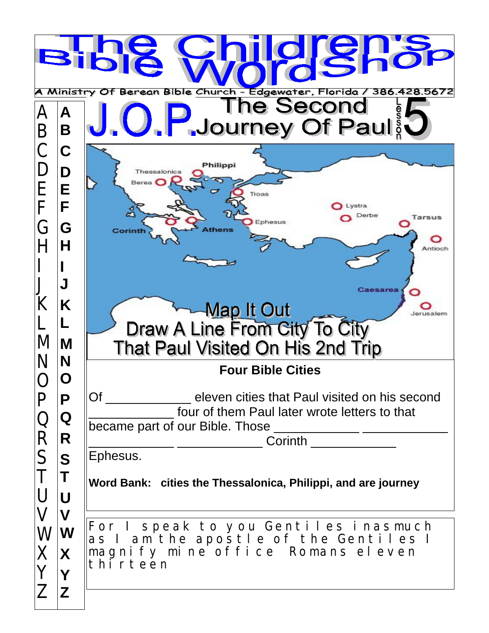| 15<br><b>Bible</b><br>A Ministry Of Berean Bible Church - Edgewater, Florida /<br>386.428.5672 |                                                                         |                                                                                                                                                                                                                                                                     |  |
|------------------------------------------------------------------------------------------------|-------------------------------------------------------------------------|---------------------------------------------------------------------------------------------------------------------------------------------------------------------------------------------------------------------------------------------------------------------|--|
| Β                                                                                              | Α<br>B                                                                  | <b>The Second</b><br>J. U. P. Journey Of Paul                                                                                                                                                                                                                       |  |
| Е<br>F<br>G<br>M                                                                               | C<br>D<br>E<br>F<br>G<br>Н<br>Κ<br>M                                    | Philippi<br>Thessalonica<br>Berea <sup>[</sup><br>Troas<br>Lystra<br>$\sim$<br>Derbe<br>Tarsus<br>Ephesus<br>Corint<br>Antioch<br>Caesarea<br><u>Map It Out</u><br>lerusalem<br>Draw A Line From City To City<br>That Paul Visited On His 2nd Trip                  |  |
|                                                                                                | N                                                                       | <b>Four Bible Cities</b>                                                                                                                                                                                                                                            |  |
| R<br>S                                                                                         | P<br>Q<br>$\vert \mathsf{R} \vert$<br><b>S</b><br>$\mathsf T$<br>U<br>V | Of ________________ eleven cities that Paul visited on his second<br>four of them Paul later wrote letters to that<br>_____________ _______________________Corinth ___________________<br>Ephesus.<br>Word Bank: cities the Thessalonica, Philippi, and are journey |  |
| W<br>$\times$<br>$\begin{array}{c} Y \\ Z \\ Z \end{array}$                                    | $ \mathbf{W} $<br>X                                                     | For I speak to you Gentiles inasmuch<br>as I am the apostle of the Gentiles I<br>magnify mine office Romans eleven<br>thi r teen                                                                                                                                    |  |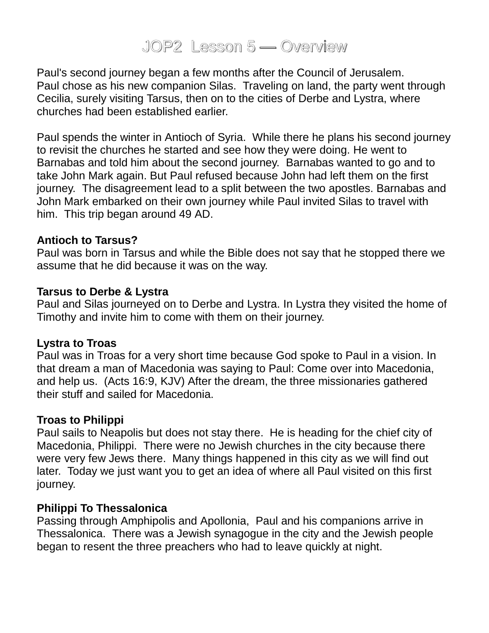# JOP2 Lesson 5 — Overview

Paul's second journey began a few months after the Council of Jerusalem. Paul chose as his new companion Silas. Traveling on land, the party went through Cecilia, surely visiting Tarsus, then on to the cities of Derbe and Lystra, where churches had been established earlier.

Paul spends the winter in Antioch of Syria. While there he plans his second journey to revisit the churches he started and see how they were doing. He went to Barnabas and told him about the second journey. Barnabas wanted to go and to take John Mark again. But Paul refused because John had left them on the first journey. The disagreement lead to a split between the two apostles. Barnabas and John Mark embarked on their own journey while Paul invited Silas to travel with him. This trip began around 49 AD.

#### **Antioch to Tarsus?**

Paul was born in Tarsus and while the Bible does not say that he stopped there we assume that he did because it was on the way.

#### **Tarsus to Derbe & Lystra**

Paul and Silas journeyed on to Derbe and Lystra. In Lystra they visited the home of Timothy and invite him to come with them on their journey.

#### **Lystra to Troas**

Paul was in Troas for a very short time because God spoke to Paul in a vision. In that dream a man of Macedonia was saying to Paul: Come over into Macedonia, and help us. (Acts 16:9, KJV) After the dream, the three missionaries gathered their stuff and sailed for Macedonia.

### **Troas to Philippi**

Paul sails to Neapolis but does not stay there. He is heading for the chief city of Macedonia, Philippi. There were no Jewish churches in the city because there were very few Jews there. Many things happened in this city as we will find out later. Today we just want you to get an idea of where all Paul visited on this first journey.

### **Philippi To Thessalonica**

Passing through Amphipolis and Apollonia, Paul and his companions arrive in Thessalonica. There was a Jewish synagogue in the city and the Jewish people began to resent the three preachers who had to leave quickly at night.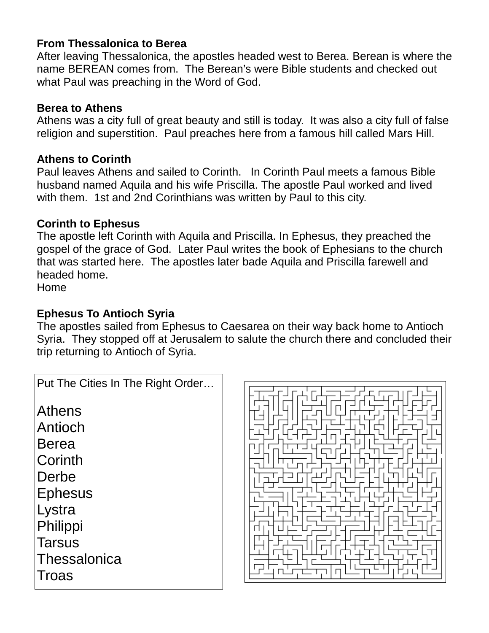## **From Thessalonica to Berea**

After leaving Thessalonica, the apostles headed west to Berea. Berean is where the name BEREAN comes from. The Berean's were Bible students and checked out what Paul was preaching in the Word of God.

### **Berea to Athens**

Athens was a city full of great beauty and still is today. It was also a city full of false religion and superstition. Paul preaches here from a famous hill called Mars Hill.

### **Athens to Corinth**

Paul leaves Athens and sailed to Corinth. In Corinth Paul meets a famous Bible husband named Aquila and his wife Priscilla. The apostle Paul worked and lived with them. 1st and 2nd Corinthians was written by Paul to this city.

## **Corinth to Ephesus**

The apostle left Corinth with Aquila and Priscilla. In Ephesus, they preached the gospel of the grace of God. Later Paul writes the book of Ephesians to the church that was started here. The apostles later bade Aquila and Priscilla farewell and headed home.

Home

## **Ephesus To Antioch Syria**

The apostles sailed from Ephesus to Caesarea on their way back home to Antioch Syria. They stopped off at Jerusalem to salute the church there and concluded their trip returning to Antioch of Syria.

| Put The Cities In The Right Order |
|-----------------------------------|
| Athens                            |
| Antioch                           |
| <b>Berea</b>                      |
| Corinth                           |
| Derbe                             |
| <b>Ephesus</b>                    |
| Lystra                            |
| Philippi                          |
| <b>Tarsus</b>                     |
| Thessalonica                      |
| Troas                             |
|                                   |